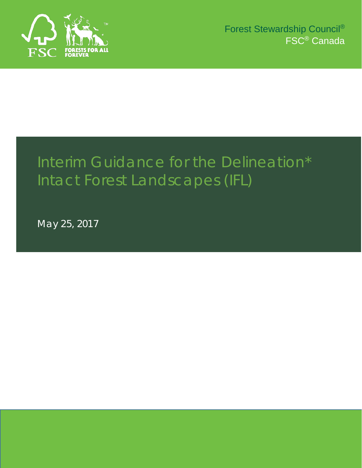

# Interim Guidance for the Delineation\* Intact Forest Landscapes (IFL)

May 25, 2017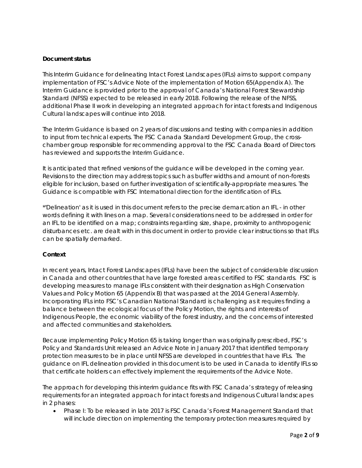#### **Document status**

This Interim Guidance for delineating Intact Forest Landscapes (IFLs) aims to support company implementation of FSC's Advice Note of the implementation of Motion 65(Appendix A). The Interim Guidance is provided prior to the approval of Canada's National Forest Stewardship Standard (NFSS) expected to be released in early 2018. Following the release of the NFSS, additional Phase II work in developing an integrated approach for intact forests and Indigenous Cultural landscapes will continue into 2018.

The Interim Guidance is based on 2 years of discussions and testing with companies in addition to input from technical experts. The FSC Canada Standard Development Group, the crosschamber group responsible for recommending approval to the FSC Canada Board of Directors has reviewed and supports the Interim Guidance.

It is anticipated that refined versions of the guidance will be developed in the coming year. Revisions to the direction may address topics such as buffer widths and amount of non-forests eligible for inclusion, based on further investigation of scientifically-appropriate measures. The Guidance is compatible with FSC International direction for the identification of IFLs.

*\*'Delineation' as it is used in this document refers to the precise demarcation an IFL - in other words defining it with lines on a map. Several considerations need to be addressed in order for an IFL to be identified on a map; constraints regarding size, shape, proximity to anthropogenic disturbances etc. are dealt with in this document in order to provide clear instructions so that IFLs can be spatially demarked.*

### **Context**

In recent years, Intact Forest Landscapes (IFLs) have been the subject of considerable discussion in Canada and other countries that have large forested areas certified to FSC standards. FSC is developing measures to manage IFLs consistent with their designation as High Conservation Values and Policy Motion 65 (Appendix B) that was passed at the 2014 General Assembly. Incorporating IFLs into FSC's Canadian National Standard is challenging as it requires finding a balance between the ecological focus of the Policy Motion, the rights and interests of Indigenous People, the economic viability of the forest industry, and the concerns of interested and affected communities and stakeholders.

Because implementing Policy Motion 65 is taking longer than was originally prescribed, FSC's Policy and Standards Unit released an Advice Note in January 2017 that identified temporary protection measures to be in place until NFSS are developed in countries that have IFLs. The guidance on IFL delineation provided in this document is to be used in Canada to identify IFLs so that certificate holders can effectively implement the requirements of the Advice Note.

The approach for developing this interim guidance fits with FSC Canada's strategy of releasing requirements for an integrated approach for intact forests and Indigenous Cultural landscapes in 2 phases:

• Phase I: To be released in late 2017 is FSC Canada's Forest Management Standard that will include direction on implementing the temporary protection measures required by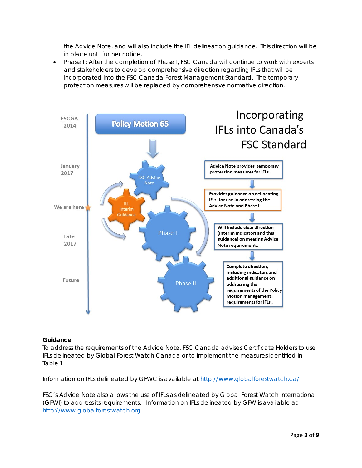the Advice Note, and will also include the IFL delineation guidance. This direction will be in place until further notice.

• Phase II: After the completion of Phase I, FSC Canada will continue to work with experts and stakeholders to develop comprehensive direction regarding IFLs that will be incorporated into the FSC Canada Forest Management Standard. The temporary protection measures will be replaced by comprehensive normative direction.



#### **Guidance**

To address the requirements of the Advice Note, FSC Canada advises Certificate Holders to use IFLs delineated by Global Forest Watch Canada or to implement the measures identified in Table 1.

Information on IFLs delineated by GFWC is available at<http://www.globalforestwatch.ca/>

FSC's Advice Note also allows the use of IFLs as delineated by Global Forest Watch International (GFWI) to address its requirements. Information on IFLs delineated by GFW is available at [http://www.globalforestwatch.org](http://www.globalforestwatch.org/)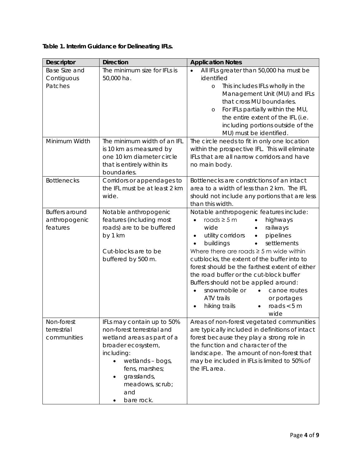|  |  |  |  | Table 1. Interim Guidance for Delineating IFLs. |  |
|--|--|--|--|-------------------------------------------------|--|
|--|--|--|--|-------------------------------------------------|--|

| <b>Descriptor</b>                                  | <b>Direction</b>                                                                                                                                                                                                                     | <b>Application Notes</b>                                                                                                                                                                                                                                                                                                                                                                                                                                                                                                                                                |
|----------------------------------------------------|--------------------------------------------------------------------------------------------------------------------------------------------------------------------------------------------------------------------------------------|-------------------------------------------------------------------------------------------------------------------------------------------------------------------------------------------------------------------------------------------------------------------------------------------------------------------------------------------------------------------------------------------------------------------------------------------------------------------------------------------------------------------------------------------------------------------------|
| Base Size and<br>Contiguous<br>Patches             | The minimum size for IFLs is<br>50,000 ha.                                                                                                                                                                                           | All IFLs greater than 50,000 ha must be<br>identified<br>This includes IFLs wholly in the<br>$\circ$<br>Management Unit (MU) and IFLs<br>that cross MU boundaries.<br>For IFLs partially within the MU,<br>$\circ$<br>the entire extent of the IFL (i.e.<br>including portions outside of the<br>MU) must be identified.                                                                                                                                                                                                                                                |
| Minimum Width                                      | The minimum width of an IFL<br>is 10 km as measured by<br>one 10 km diameter circle<br>that is entirely within its<br>boundaries.                                                                                                    | The circle needs to fit in only one location<br>within the prospective IFL. This will eliminate<br>IFLs that are all narrow corridors and have<br>no main body.                                                                                                                                                                                                                                                                                                                                                                                                         |
| <b>Bottlenecks</b>                                 | Corridors or appendages to<br>the IFL must be at least 2 km<br>wide.                                                                                                                                                                 | Bottlenecks are constrictions of an intact<br>area to a width of less than 2 km. The IFL<br>should not include any portions that are less<br>than this width.                                                                                                                                                                                                                                                                                                                                                                                                           |
| <b>Buffers around</b><br>anthropogenic<br>features | Notable anthropogenic<br>features (including most<br>roads) are to be buffered<br>by 1 km<br>Cut-blocks are to be<br>buffered by 500 m.                                                                                              | Notable anthropogenic features include:<br>roads $\geq$ 5 m<br>highways<br>$\bullet$<br>wide<br>railways<br>pipelines<br>utility corridors<br>$\bullet$<br>$\bullet$<br>settlements<br>buildings<br>$\bullet$<br>Where there are roads $\geq$ 5 m wide within<br>cutblocks, the extent of the buffer into to<br>forest should be the farthest extent of either<br>the road buffer or the cut-block buffer<br>Buffers should not be applied around:<br>snowmobile or<br>canoe routes<br>ATV trails<br>or portages<br>roads $<$ 5 m<br>hiking trails<br>$\bullet$<br>wide |
| Non-forest<br>terrestrial<br>communities           | IFLs may contain up to 50%<br>non-forest terrestrial and<br>wetland areas as part of a<br>broader ecosystem,<br>including:<br>wetlands - bogs,<br>fens, marshes;<br>grasslands,<br>$\bullet$<br>meadows, scrub;<br>and<br>bare rock. | Areas of non-forest vegetated communities<br>are typically included in definitions of intact<br>forest because they play a strong role in<br>the function and character of the<br>landscape. The amount of non-forest that<br>may be included in IFLs is limited to 50% of<br>the IFL area.                                                                                                                                                                                                                                                                             |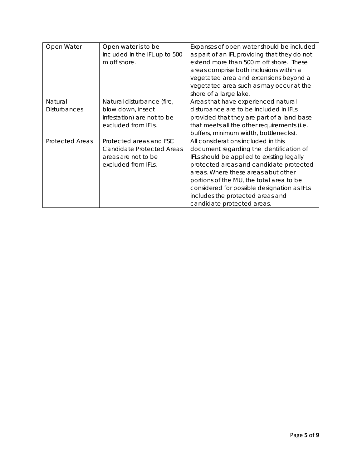| Open Water                     | Open water is to be<br>included in the IFL up to 500<br>m off shore.                                      | Expanses of open water should be included<br>as part of an IFL providing that they do not<br>extend more than 500 m off shore. These<br>areas comprise both inclusions within a<br>vegetated area and extensions beyond a<br>vegetated area such as may occur at the<br>shore of a large lake.                                                                               |
|--------------------------------|-----------------------------------------------------------------------------------------------------------|------------------------------------------------------------------------------------------------------------------------------------------------------------------------------------------------------------------------------------------------------------------------------------------------------------------------------------------------------------------------------|
| Natural<br><b>Disturbances</b> | Natural disturbance (fire,<br>blow down, insect<br>infestation) are not to be<br>excluded from IFLs.      | Areas that have experienced natural<br>disturbance are to be included in IFLs<br>provided that they are part of a land base<br>that meets all the other requirements (i.e.<br>buffers, minimum width, bottlenecks).                                                                                                                                                          |
| <b>Protected Areas</b>         | Protected areas and FSC<br><b>Candidate Protected Areas</b><br>areas are not to be<br>excluded from IFLs. | All considerations included in this<br>document regarding the identification of<br>IFLs should be applied to existing legally<br>protected areas and candidate protected<br>areas. Where these areas abut other<br>portions of the MU, the total area to be<br>considered for possible designation as IFLs<br>includes the protected areas and<br>candidate protected areas. |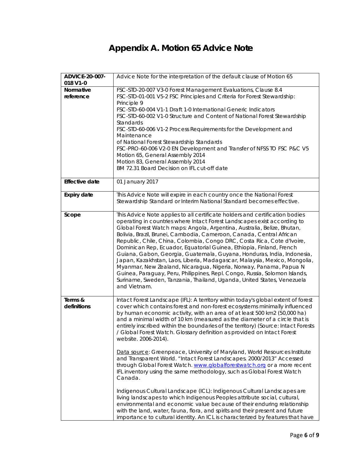# **Appendix A. Motion 65 Advice Note**

| ADVICE-20-007-<br>018 V1-0 | Advice Note for the interpretation of the default clause of Motion 65                                                                                                                                                                                                                                                                                                                                                                                                                                                                                                                                                                                                                                                                                                                                                                                                                                               |
|----------------------------|---------------------------------------------------------------------------------------------------------------------------------------------------------------------------------------------------------------------------------------------------------------------------------------------------------------------------------------------------------------------------------------------------------------------------------------------------------------------------------------------------------------------------------------------------------------------------------------------------------------------------------------------------------------------------------------------------------------------------------------------------------------------------------------------------------------------------------------------------------------------------------------------------------------------|
| Normative<br>reference     | FSC-STD-20-007 V3-0 Forest Management Evaluations, Clause 8.4<br>FSC-STD-01-001 V5-2 FSC Principles and Criteria for Forest Stewardship:<br>Principle 9<br>FSC-STD-60-004 V1-1 Draft 1-0 International Generic Indicators<br>FSC-STD-60-002 V1-0 Structure and Content of National Forest Stewardship<br>Standards<br>FSC-STD-60-006 V1-2 Process Requirements for the Development and<br>Maintenance<br>of National Forest Stewardship Standards<br>FSC-PRO-60-006 V2-0 EN Development and Transfer of NFSS TO FSC P&C V5<br>Motion 65, General Assembly 2014<br>Motion 83, General Assembly 2014<br>BM 72.31 Board Decision on IFL cut-off date                                                                                                                                                                                                                                                                   |
| <b>Effective date</b>      | 01 January 2017                                                                                                                                                                                                                                                                                                                                                                                                                                                                                                                                                                                                                                                                                                                                                                                                                                                                                                     |
| <b>Expiry date</b>         | This Advice Note will expire in each country once the National Forest<br>Stewardship Standard or Interim National Standard becomes effective.                                                                                                                                                                                                                                                                                                                                                                                                                                                                                                                                                                                                                                                                                                                                                                       |
| Scope                      | This Advice Note applies to all certificate holders and certification bodies<br>operating in countries where Intact Forest Landscapes exist according to<br>Global Forest Watch maps: Angola, Argentina, Australia, Belize, Bhutan,<br>Bolivia, Brazil, Brunei, Cambodia, Cameroon, Canada, Central African<br>Republic, Chile, China, Colombia, Congo DRC, Costa Rica, Cote d'Ivoire,<br>Dominican Rep, Ecuador, Equatorial Guinea, Ethiopia, Finland, French<br>Guiana, Gabon, Georgia, Guatemala, Guyana, Honduras, India, Indonesia,<br>Japan, Kazakhstan, Laos, Liberia, Madagascar, Malaysia, Mexico, Mongolia,<br>Myanmar, New Zealand, Nicaragua, Nigeria, Norway, Panama, Papua N<br>Guinea, Paraguay, Peru, Philippines, Repl. Congo, Russia, Solomon Islands,<br>Suriname, Sweden, Tanzania, Thailand, Uganda, United States, Venezuela<br>and Vietnam.                                                  |
| Terms &<br>definitions     | Intact Forest Landscape (IFL): A territory within today's global extent of forest<br>cover which contains forest and non-forest ecosystems minimally influenced<br>by human economic activity, with an area of at least 500 km2 (50,000 ha)<br>and a minimal width of 10 km (measured as the diameter of a circle that is<br>entirely inscribed within the boundaries of the territory) (Source: Intact Forests<br>/ Global Forest Watch. Glossary definition as provided on Intact Forest<br>website. 2006-2014).<br>Data source: Greenpeace, University of Maryland, World Resources Institute<br>and Transparent World. "Intact Forest Landscapes. 2000/2013" Accessed<br>through Global Forest Watch. www.globalforestwatch.org or a more recent<br>IFL inventory using the same methodology, such as Global Forest Watch<br>Canada.<br>Indigenous Cultural Landscape (ICL): Indigenous Cultural Landscapes are |
|                            | living landscapes to which Indigenous Peoples attribute social, cultural,<br>environmental and economic value because of their enduring relationship<br>with the land, water, fauna, flora, and spirits and their present and future<br>importance to cultural identity. An ICL is characterized by features that have                                                                                                                                                                                                                                                                                                                                                                                                                                                                                                                                                                                              |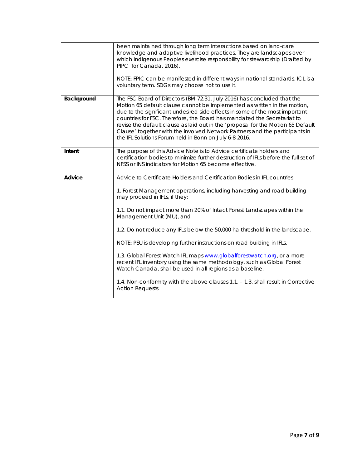|            | been maintained through long term interactions based on land-care<br>knowledge and adaptive livelihood practices. They are landscapes over<br>which Indigenous Peoples exercise responsibility for stewardship (Drafted by<br>PIPC for Canada, 2016).<br>NOTE: FPIC can be manifested in different ways in national standards. ICL is a<br>voluntary term. SDGs may choose not to use it.                                                                                                                                                  |
|------------|--------------------------------------------------------------------------------------------------------------------------------------------------------------------------------------------------------------------------------------------------------------------------------------------------------------------------------------------------------------------------------------------------------------------------------------------------------------------------------------------------------------------------------------------|
| Background | The FSC Board of Directors (BM 72.31, July 2016) has concluded that the<br>Motion 65 default clause cannot be implemented as written in the motion,<br>due to the significant undesired side effects in some of the most important<br>countries for FSC. Therefore, the Board has mandated the Secretariat to<br>revise the default clause as laid out in the 'proposal for the Motion 65 Default<br>Clause' together with the involved Network Partners and the participants in<br>the IFL Solutions Forum held in Bonn on July 6-8 2016. |
| Intent     | The purpose of this Advice Note is to Advice certificate holders and<br>certification bodies to minimize further destruction of IFLs before the full set of<br>NFSS or INS indicators for Motion 65 become effective.                                                                                                                                                                                                                                                                                                                      |
| Advice     | Advice to Certificate Holders and Certification Bodies in IFL countries                                                                                                                                                                                                                                                                                                                                                                                                                                                                    |
|            | 1. Forest Management operations, including harvesting and road building<br>may proceed in IFLs, if they:                                                                                                                                                                                                                                                                                                                                                                                                                                   |
|            | 1.1. Do not impact more than 20% of Intact Forest Landscapes within the<br>Management Unit (MU), and                                                                                                                                                                                                                                                                                                                                                                                                                                       |
|            | 1.2. Do not reduce any IFLs below the 50,000 ha threshold in the landscape.                                                                                                                                                                                                                                                                                                                                                                                                                                                                |
|            | NOTE: PSU is developing further instructions on road building in IFLs.                                                                                                                                                                                                                                                                                                                                                                                                                                                                     |
|            | 1.3. Global Forest Watch IFL maps www.globalforestwatch.org, or a more<br>recent IFL inventory using the same methodology, such as Global Forest<br>Watch Canada, shall be used in all regions as a baseline.                                                                                                                                                                                                                                                                                                                              |
|            | 1.4. Non-conformity with the above clauses 1.1. - 1.3. shall result in Corrective<br><b>Action Requests.</b>                                                                                                                                                                                                                                                                                                                                                                                                                               |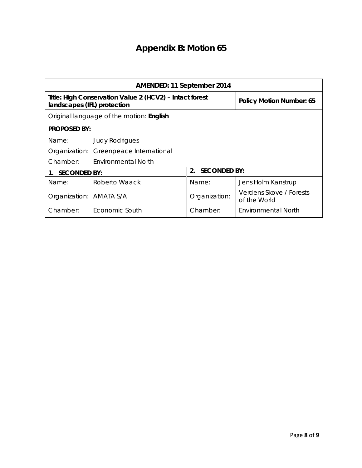# **Appendix B: Motion 65**

| AMENDED: 11 September 2014                                                             |                          |                 |                                         |  |
|----------------------------------------------------------------------------------------|--------------------------|-----------------|-----------------------------------------|--|
| Title: High Conservation Value 2 (HCV2) - Intact forest<br>landscapes (IFL) protection |                          |                 | <b>Policy Motion Number: 65</b>         |  |
| Original language of the motion: English                                               |                          |                 |                                         |  |
| <b>PROPOSED BY:</b>                                                                    |                          |                 |                                         |  |
| Name:                                                                                  | <b>Judy Rodrigues</b>    |                 |                                         |  |
| Organization:                                                                          | Greenpeace International |                 |                                         |  |
| Chamber:                                                                               | Environmental North      |                 |                                         |  |
| <b>SECONDED BY:</b>                                                                    |                          | 2. SECONDED BY: |                                         |  |
| Name:                                                                                  | Roberto Waack            | Name:           | Jens Holm Kanstrup                      |  |
| Organization:                                                                          | AMATA S/A                | Organization:   | Verdens Skove / Forests<br>of the World |  |
| Chamber:                                                                               | Economic South           | Chamber:        | Environmental North                     |  |